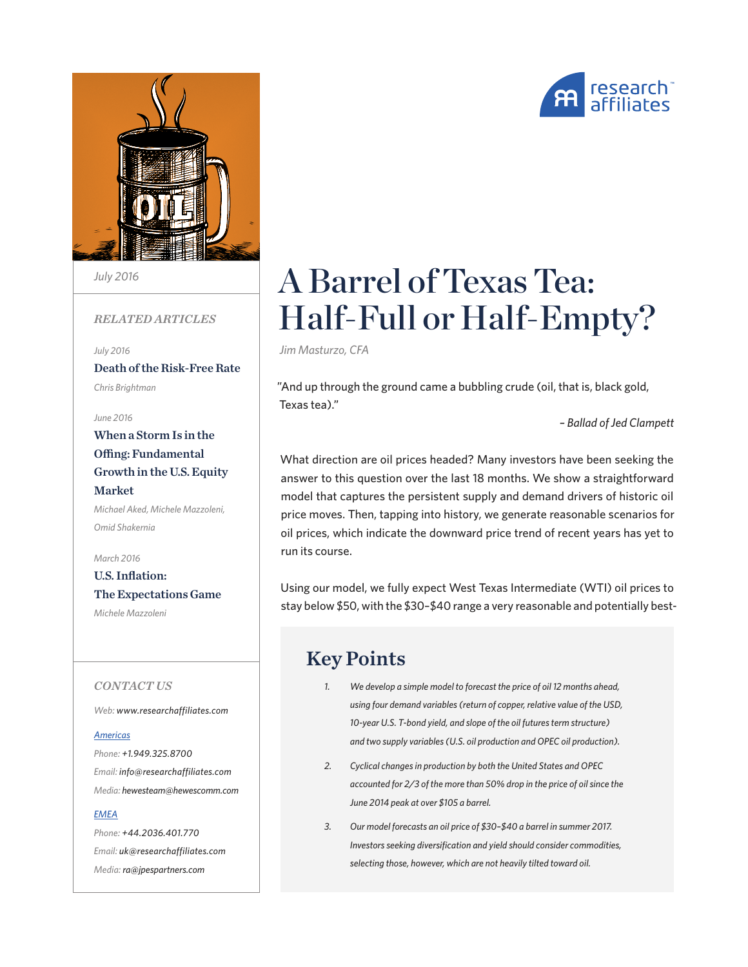

*July 2016*

## *RELATED ARTICLES*

*July 2016* [Death of the Risk-Free Rate](https://www.researchaffiliates.com/en_us/publications/articles/562_Death_of_the_Risk-Free_Rate.html) *Chris Brightman*

*June 2016*

## [When a Storm Is in the](https://www.researchaffiliates.com/en_us/publications/articles/548_When_a_Storm_Is_in_the_Offing_Fundamental_Growth_in_the_US_Equity_Market.html)  [Offing: Fundamental](https://www.researchaffiliates.com/en_us/publications/articles/548_When_a_Storm_Is_in_the_Offing_Fundamental_Growth_in_the_US_Equity_Market.html)  [Growth in the U.S. Equity](https://www.researchaffiliates.com/en_us/publications/articles/548_When_a_Storm_Is_in_the_Offing_Fundamental_Growth_in_the_US_Equity_Market.html)  [Market](https://www.researchaffiliates.com/en_us/publications/articles/548_When_a_Storm_Is_in_the_Offing_Fundamental_Growth_in_the_US_Equity_Market.html) *Michael Aked, Michele Mazzoleni,*

*Omid Shakernia*

*March 2016* [U.S. Inflation:](https://www.researchaffiliates.com/en_us/publications/articles/468_US_Inflation_The_Expectations_Game.html)  [The Expectations Game](https://www.researchaffiliates.com/en_us/publications/articles/468_US_Inflation_The_Expectations_Game.html)

*Michele Mazzoleni*

### *CONTACT US*

*Web: www.researchaffiliates.com*

#### *Americas*

*Phone: +1.949.325.8700 Email: info@researchaffiliates.com Media: hewesteam@hewescomm.com*

#### *EMEA*

*Phone: +44.2036.401.770 Email: uk@researchaffiliates.com Media: ra@jpespartners.com*

# A Barrel of Texas Tea: Half-Full or Half-Empty?

*Jim Masturzo, CFA*

"And up through the ground came a bubbling crude (oil, that is, black gold, Texas tea)."

*– Ballad of Jed Clampett*

What direction are oil prices headed? Many investors have been seeking the answer to this question over the last 18 months. We show a straightforward model that captures the persistent supply and demand drivers of historic oil price moves. Then, tapping into history, we generate reasonable scenarios for oil prices, which indicate the downward price trend of recent years has yet to run its course.

Using our model, we fully expect West Texas Intermediate (WTI) oil prices to stay below \$50, with the \$30–\$40 range a very reasonable and potentially best-

## Key Points

- *1. We develop a simple model to forecast the price of oil 12 months ahead, using four demand variables (return of copper, relative value of the USD, 10-year U.S. T-bond yield, and slope of the oil futures term structure) and two supply variables (U.S. oil production and OPEC oil production).*
- *2. Cyclical changes in production by both the United States and OPEC accounted for 2/3 of the more than 50% drop in the price of oil since the June 2014 peak at over \$105 a barrel.*
- *3. Our model forecasts an oil price of \$30–\$40 a barrel in summer 2017. Investors seeking diversification and yield should consider commodities, selecting those, however, which are not heavily tilted toward oil.*

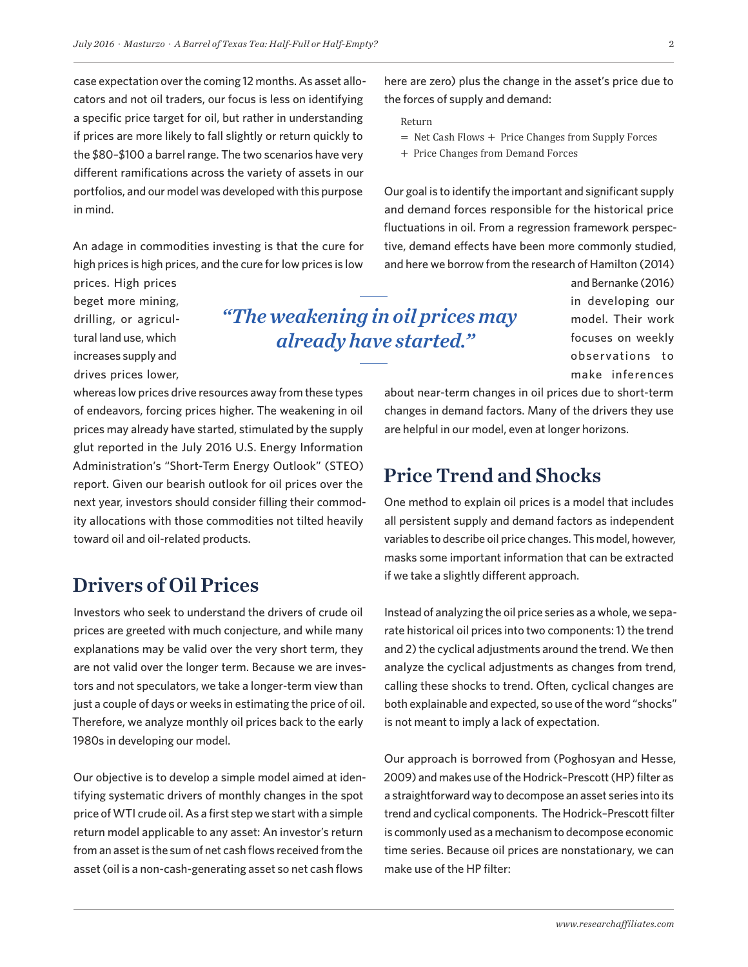case expectation over the coming 12 months. As asset allocators and not oil traders, our focus is less on identifying a specific price target for oil, but rather in understanding if prices are more likely to fall slightly or return quickly to the \$80–\$100 a barrel range. The two scenarios have very different ramifications across the variety of assets in our portfolios, and our model was developed with this purpose in mind.

An adage in commodities investing is that the cure for high prices is high prices, and the cure for low prices is low

prices. High prices beget more mining, drilling, or agricultural land use, which increases supply and drives prices lower,

*"The weakening in oil prices may already have started."*

whereas low prices drive resources away from these types of endeavors, forcing prices higher. The weakening in oil prices may already have started, stimulated by the supply glut reported in the July 2016 U.S. Energy Information Administration's "Short-Term Energy Outlook" (STEO) report. Given our bearish outlook for oil prices over the next year, investors should consider filling their commodity allocations with those commodities not tilted heavily toward oil and oil-related products.

## Drivers of Oil Prices

Investors who seek to understand the drivers of crude oil prices are greeted with much conjecture, and while many explanations may be valid over the very short term, they are not valid over the longer term. Because we are investors and not speculators, we take a longer-term view than just a couple of days or weeks in estimating the price of oil. Therefore, we analyze monthly oil prices back to the early 1980s in developing our model.

Our objective is to develop a simple model aimed at identifying systematic drivers of monthly changes in the spot price of WTI crude oil. As a first step we start with a simple return model applicable to any asset: An investor's return from an asset is the sum of net cash flows received from the asset (oil is a non-cash-generating asset so net cash flows

here are zero) plus the change in the asset's price due to the forces of supply and demand:

- Return
- = Net Cash Flows + Price Changes from Supply Forces
- + Price Changes from Demand Forces

Our goal is to identify the important and significant supply and demand forces responsible for the historical price fluctuations in oil. From a regression framework perspective, demand effects have been more commonly studied, and here we borrow from the research of Hamilton (2014)

> and Bernanke (2016) in developing our model. Their work focuses on weekly observations to make inferences

about near-term changes in oil prices due to short-term changes in demand factors. Many of the drivers they use are helpful in our model, even at longer horizons.

## Price Trend and Shocks

One method to explain oil prices is a model that includes all persistent supply and demand factors as independent variables to describe oil price changes. This model, however, masks some important information that can be extracted if we take a slightly different approach.

Instead of analyzing the oil price series as a whole, we separate historical oil prices into two components: 1) the trend and 2) the cyclical adjustments around the trend. We then analyze the cyclical adjustments as changes from trend, calling these shocks to trend. Often, cyclical changes are both explainable and expected, so use of the word "shocks" is not meant to imply a lack of expectation.

Our approach is borrowed from (Poghosyan and Hesse, 2009) and makes use of the Hodrick–Prescott (HP) filter as a straightforward way to decompose an asset series into its trend and cyclical components. The Hodrick–Prescott filter is commonly used as a mechanism to decompose economic time series. Because oil prices are nonstationary, we can make use of the HP filter: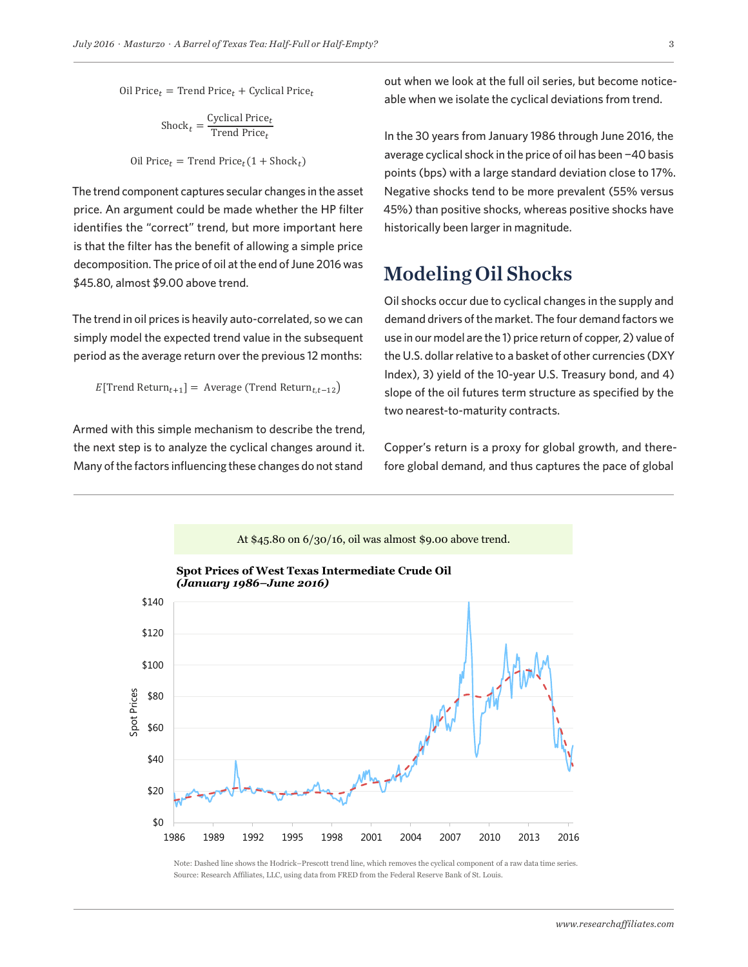Oil Price  $t =$  Trend Price  $t +$  Cyclical Price  $t$ 

$$
Shock_t = \frac{Cyclical Price_t}{Trend Price_t}
$$

Oil Price<sub>t</sub> = Trend Price<sub>t</sub>(1 + Shock<sub>t</sub>)

The trend component captures secular changes in the asset price. An argument could be made whether the HP filter identifies the "correct" trend, but more important here is that the filter has the benefit of allowing a simple price decomposition. The price of oil at the end of June 2016 was \$45.80, almost \$9.00 above trend.

The trend in oil prices is heavily auto-correlated, so we can simply model the expected trend value in the subsequent period as the average return over the previous 12 months:

 $E[$ Trend Return<sub>t+1</sub>] = Average (Trend Return<sub>t,t-12</sub>)

Armed with this simple mechanism to describe the trend, the next step is to analyze the cyclical changes around it. Many of the factors influencing these changes do not stand

out when we look at the full oil series, but become noticeable when we isolate the cyclical deviations from trend.

In the 30 years from January 1986 through June 2016, the average cyclical shock in the price of oil has been −40 basis points (bps) with a large standard deviation close to 17%. Negative shocks tend to be more prevalent (55% versus 45%) than positive shocks, whereas positive shocks have historically been larger in magnitude.

## Modeling Oil Shocks

Oil shocks occur due to cyclical changes in the supply and demand drivers of the market. The four demand factors we use in our model are the 1) price return of copper, 2) value of the U.S. dollar relative to a basket of other currencies (DXY Index), 3) yield of the 10-year U.S. Treasury bond, and 4) slope of the oil futures term structure as specified by the two nearest-to-maturity contracts.

Copper's return is a proxy for global growth, and therefore global demand, and thus captures the pace of global



Note: Dashed line shows the Hodrick–Prescott trend line, which removes the cyclical component of a raw data time series. Source: Research Affiliates, LLC, using data from FRED from the Federal Reserve Bank of St. Louis.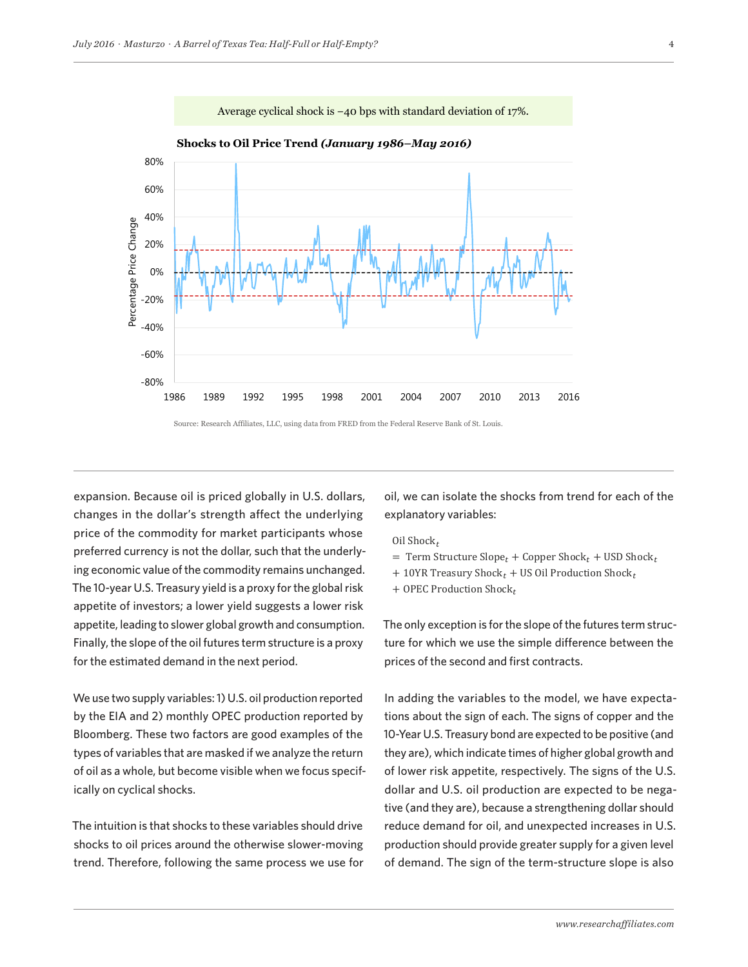

Source: Research Affiliates, LLC, using data from FRED from the Federal Reserve Bank of St. Louis.

expansion. Because oil is priced globally in U.S. dollars, changes in the dollar's strength affect the underlying price of the commodity for market participants whose preferred currency is not the dollar, such that the underlying economic value of the commodity remains unchanged. The 10-year U.S. Treasury yield is a proxy for the global risk appetite of investors; a lower yield suggests a lower risk appetite, leading to slower global growth and consumption. Finally, the slope of the oil futures term structure is a proxy for the estimated demand in the next period.

We use two supply variables: 1) U.S. oil production reported by the EIA and 2) monthly OPEC production reported by Bloomberg. These two factors are good examples of the types of variables that are masked if we analyze the return of oil as a whole, but become visible when we focus specifically on cyclical shocks.

The intuition is that shocks to these variables should drive shocks to oil prices around the otherwise slower-moving trend. Therefore, following the same process we use for oil, we can isolate the shocks from trend for each of the explanatory variables:

- Oil Shock $_t$
- $=$  Term Structure Slope<sub>t</sub> + Copper Shock<sub>t</sub> + USD Shock<sub>t</sub>
- $+10$ YR Treasury Shock<sub>t</sub> + US Oil Production Shock<sub>t</sub>
- + OPEC Production Shock $_t$

The only exception is for the slope of the futures term structure for which we use the simple difference between the prices of the second and first contracts.

In adding the variables to the model, we have expectations about the sign of each. The signs of copper and the 10-Year U.S. Treasury bond are expected to be positive (and they are), which indicate times of higher global growth and of lower risk appetite, respectively. The signs of the U.S. dollar and U.S. oil production are expected to be negative (and they are), because a strengthening dollar should reduce demand for oil, and unexpected increases in U.S. production should provide greater supply for a given level of demand. The sign of the term-structure slope is also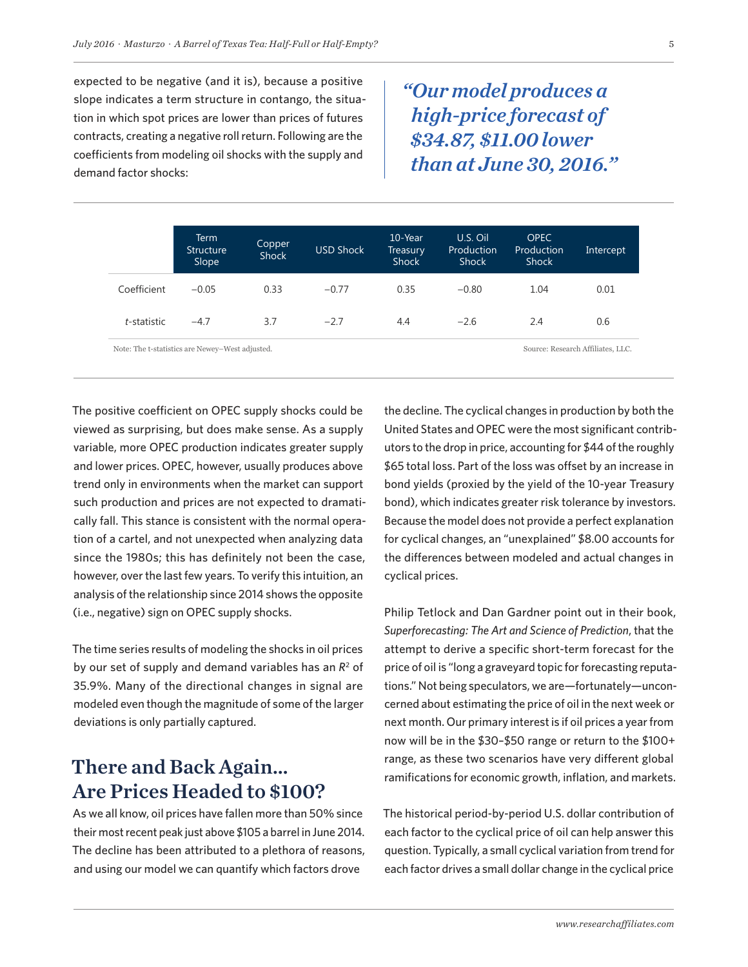expected to be negative (and it is), because a positive slope indicates a term structure in contango, the situation in which spot prices are lower than prices of futures contracts, creating a negative roll return. Following are the coefficients from modeling oil shocks with the supply and demand factor shocks:

*"Our model produces a high-price forecast of \$34.87, \$11.00 lower than at June 30, 2016."*

|             | Term<br><b>Structure</b><br>Slope | Copper<br><b>Shock</b> | <b>USD Shock</b> | 10-Year<br>Treasury<br><b>Shock</b> | U.S. Oil<br>Production<br>Shock | <b>OPEC</b><br>Production<br><b>Shock</b> | Intercept |
|-------------|-----------------------------------|------------------------|------------------|-------------------------------------|---------------------------------|-------------------------------------------|-----------|
| Coefficient | $-0.05$                           | 0.33                   | $-0.77$          | 0.35                                | $-0.80$                         | 1.04                                      | 0.01      |
| t-statistic | $-4.7$                            | 3.7                    | $-2.7$           | 4.4                                 | $-2.6$                          | 2.4                                       | 0.6       |

The positive coefficient on OPEC supply shocks could be viewed as surprising, but does make sense. As a supply variable, more OPEC production indicates greater supply and lower prices. OPEC, however, usually produces above trend only in environments when the market can support such production and prices are not expected to dramatically fall. This stance is consistent with the normal operation of a cartel, and not unexpected when analyzing data since the 1980s; this has definitely not been the case, however, over the last few years. To verify this intuition, an analysis of the relationship since 2014 shows the opposite (i.e., negative) sign on OPEC supply shocks.

The time series results of modeling the shocks in oil prices by our set of supply and demand variables has an  $R^2$  of 35.9%. Many of the directional changes in signal are modeled even though the magnitude of some of the larger deviations is only partially captured.

# There and Back Again… Are Prices Headed to \$100?

As we all know, oil prices have fallen more than 50% since their most recent peak just above \$105 a barrel in June 2014. The decline has been attributed to a plethora of reasons, and using our model we can quantify which factors drove

the decline. The cyclical changes in production by both the United States and OPEC were the most significant contributors to the drop in price, accounting for \$44 of the roughly \$65 total loss. Part of the loss was offset by an increase in bond yields (proxied by the yield of the 10-year Treasury bond), which indicates greater risk tolerance by investors. Because the model does not provide a perfect explanation for cyclical changes, an "unexplained" \$8.00 accounts for the differences between modeled and actual changes in cyclical prices.

Philip Tetlock and Dan Gardner point out in their book, *Superforecasting: The Art and Science of Prediction*, that the attempt to derive a specific short-term forecast for the price of oil is "long a graveyard topic for forecasting reputations." Not being speculators, we are—fortunately—unconcerned about estimating the price of oil in the next week or next month. Our primary interest is if oil prices a year from now will be in the \$30–\$50 range or return to the \$100+ range, as these two scenarios have very different global ramifications for economic growth, inflation, and markets.

The historical period-by-period U.S. dollar contribution of each factor to the cyclical price of oil can help answer this question. Typically, a small cyclical variation from trend for each factor drives a small dollar change in the cyclical price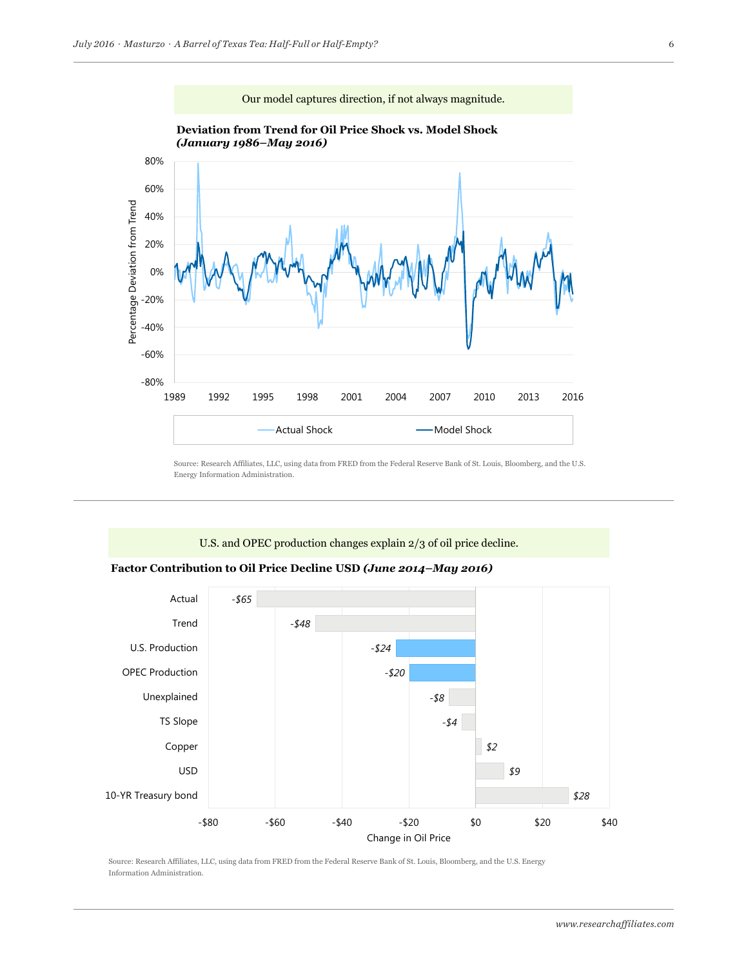

Source: Research Affiliates, LLC, using data from FRED from the Federal Reserve Bank of St. Louis, Bloomberg, and the U.S. Energy Information Administration.

## U.S. and OPEC production changes explain 2/3 of oil price decline.

#### **Factor Contribution to Oil Price Decline USD** *(June 2014–May 2016)*

which are fully incorporated by reference as if set out herein at length. Which are fully incorporated by reference as if set out herein at least  $\alpha$ 



Source: Research Affiliates, LLC, using data from FRED from the Federal Reserve Bank of St. Louis, Bloomberg, and the U.S. Energy Information Administration.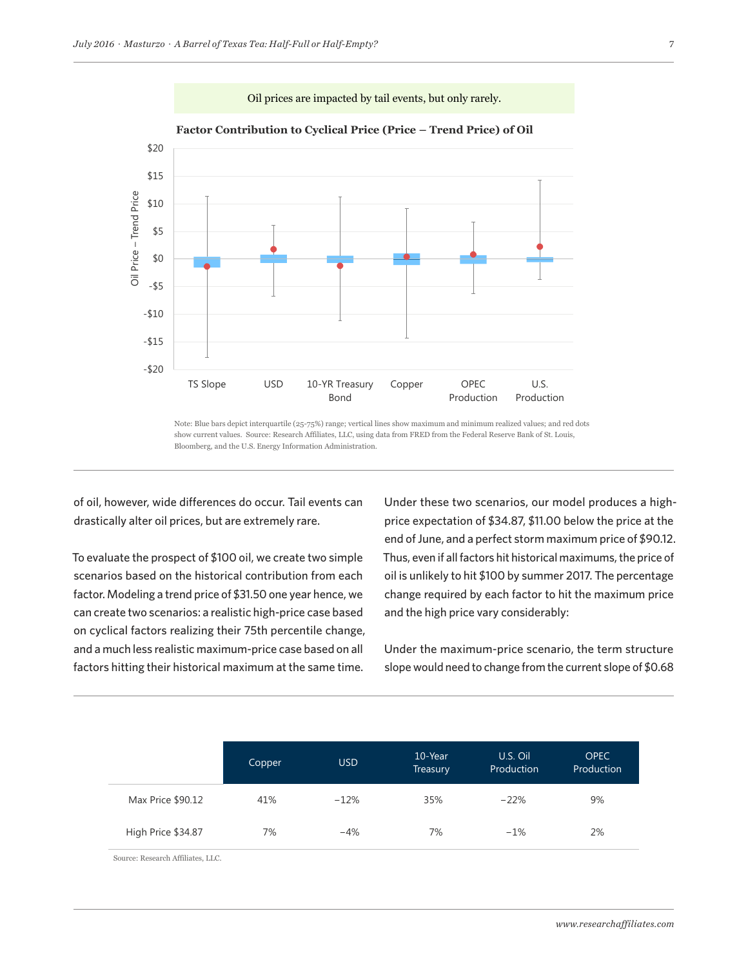



#### **Factor Contribution to Cyclical Price (Price – Trend Price) of Oil**

Note: Blue bars depict interquartile (25-75%) range; vertical lines show maximum and minimum realized values; and red dots show current values. Source: Research Affiliates, LLC, using data from FRED from the Federal Reserve Bank of St. Louis, Bloomberg, and the U.S. Energy Information Administration.

ww.researchaffiliates.com, which are fully incorporated by reference as if set out herein at length.

of oil, however, wide differences do occur. Tail events can drastically alter oil prices, but are extremely rare.

To evaluate the prospect of \$100 oil, we create two simple scenarios based on the historical contribution from each factor. Modeling a trend price of \$31.50 one year hence, we can create two scenarios: a realistic high-price case based on cyclical factors realizing their 75th percentile change, and a much less realistic maximum-price case based on all factors hitting their historical maximum at the same time.

Under these two scenarios, our model produces a highprice expectation of \$34.87, \$11.00 below the price at the end of June, and a perfect storm maximum price of \$90.12. Thus, even if all factors hit historical maximums, the price of oil is unlikely to hit \$100 by summer 2017. The percentage change required by each factor to hit the maximum price and the high price vary considerably:

Under the maximum-price scenario, the term structure slope would need to change from the current slope of \$0.68

|                    | Copper | <b>USD</b> | 10-Year<br>Treasury | U.S. Oil<br>Production | <b>OPEC</b><br>Production |
|--------------------|--------|------------|---------------------|------------------------|---------------------------|
| Max Price \$90.12  | 41%    | $-12%$     | 35%                 | $-22%$                 | 9%                        |
| High Price \$34.87 | 7%     | $-4%$      | 7%                  | $-1%$                  | 2%                        |

Source: Research Affiliates, LLC.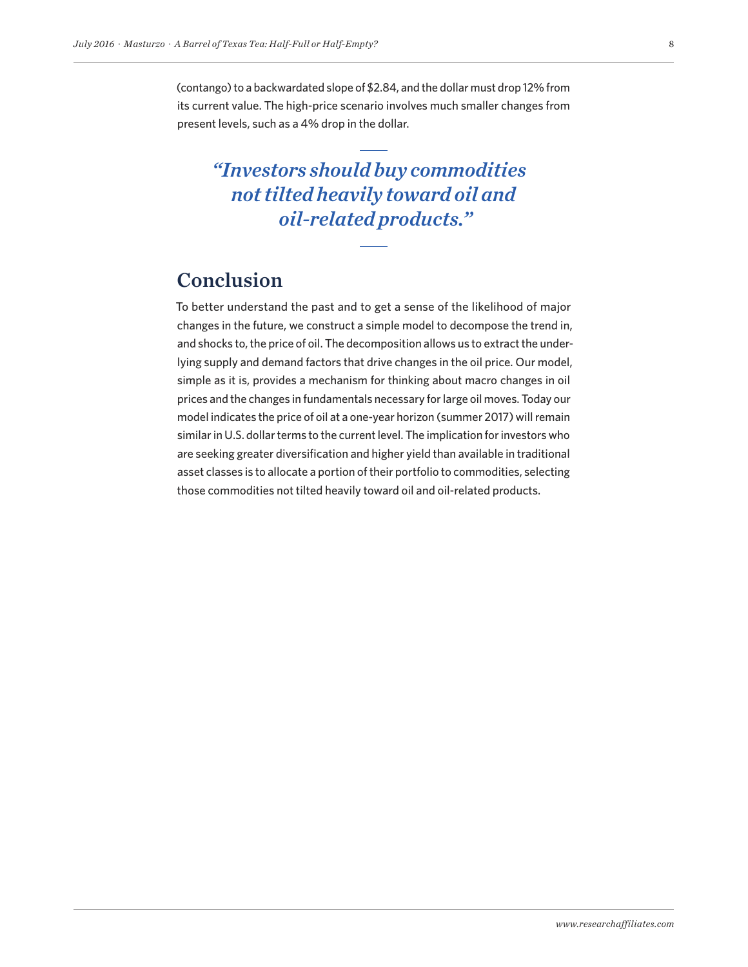(contango) to a backwardated slope of \$2.84, and the dollar must drop 12% from its current value. The high-price scenario involves much smaller changes from present levels, such as a 4% drop in the dollar.

*"Investors should buy commodities not tilted heavily toward oil and oil-related products."*

# Conclusion

To better understand the past and to get a sense of the likelihood of major changes in the future, we construct a simple model to decompose the trend in, and shocks to, the price of oil. The decomposition allows us to extract the underlying supply and demand factors that drive changes in the oil price. Our model, simple as it is, provides a mechanism for thinking about macro changes in oil prices and the changes in fundamentals necessary for large oil moves. Today our model indicates the price of oil at a one-year horizon (summer 2017) will remain similar in U.S. dollar terms to the current level. The implication for investors who are seeking greater diversification and higher yield than available in traditional asset classes is to allocate a portion of their portfolio to commodities, selecting those commodities not tilted heavily toward oil and oil-related products.